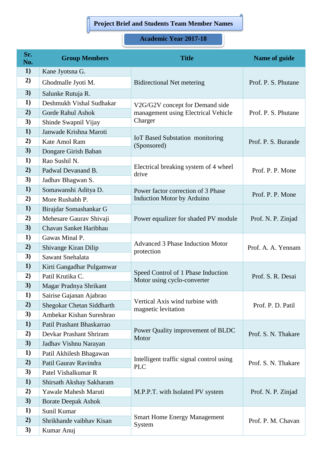## **Project Brief and Students Team Member Names**

## **Academic Year 2017-18**

| Sr.<br>No. | <b>Group Members</b>             | <b>Title</b>                                           | Name of guide       |
|------------|----------------------------------|--------------------------------------------------------|---------------------|
| 1)         | Kane Jyotsna G.                  | <b>Bidirectional Net metering</b>                      | Prof. P. S. Phutane |
| 2)         | Ghodmalle Jyoti M.               |                                                        |                     |
| 3)         | Salunke Rutuja R.                |                                                        |                     |
| 1)         | Deshmukh Vishal Sudhakar         | V2G/G2V concept for Demand side                        | Prof. P. S. Phutane |
| 2)         | <b>Gorde Rahul Ashok</b>         | management using Electrical Vehicle                    |                     |
| 3)         | Shinde Swapnil Vijay             | Charger                                                |                     |
| 1)         | Janwade Krishna Maroti           | <b>IoT Based Substation monitoring</b><br>(Sponsored)  | Prof. P. S. Burande |
| 2)         | Kate Amol Ram                    |                                                        |                     |
| 3)         | Dongare Girish Baban             |                                                        |                     |
| 1)         | Rao Sushil N.                    |                                                        | Prof. P. P. Mone    |
| 2)         | Padwal Devanand B.               | Electrical breaking system of 4 wheel<br>drive         |                     |
| 3)         | Jadhav Bhagwan S.                |                                                        |                     |
| 1)         | Somawanshi Aditya D.             | Power factor correction of 3 Phase                     | Prof. P. P. Mone    |
| 2)         | More Rushabh P.                  | <b>Induction Motor by Arduino</b>                      |                     |
| 1)         | Birajdar Somashankar G           |                                                        | Prof. N. P. Zinjad  |
| 2)         | Mehesare Gaurav Shivaji          | Power equalizer for shaded PV module                   |                     |
| 3)         | Chavan Sanket Haribhau           |                                                        |                     |
| 1)         | Gawas Minal P.                   | <b>Advanced 3 Phase Induction Motor</b>                | Prof. A. A. Yennam  |
| 2)         | Shivange Kiran Dilip             | protection                                             |                     |
| 3)         | Sawant Snehalata                 |                                                        |                     |
| 1)         | Kirti Gangadhar Pulgamwar        | Speed Control of 1 Phase Induction                     | Prof. S. R. Desai   |
| 2)         | Patil Krutika C.                 | Motor using cyclo-converter                            |                     |
| 3)         | Magar Pradnya Shrikant           |                                                        |                     |
| 1)         | Sairise Gajanan Ajabrao          | Vertical Axis wind turbine with                        | Prof. P. D. Patil   |
| 2)         | <b>Shegokar Chetan Siddharth</b> | magnetic levitation                                    |                     |
| 3)         | Ambekar Kishan Sureshrao         |                                                        |                     |
| 1)         | Patil Prashant Bhaskarrao        | Power Quality improvement of BLDC<br>Motor             | Prof. S. N. Thakare |
| 2)         | Devkar Prashant Shriram          |                                                        |                     |
| 3)         | Jadhav Vishnu Narayan            |                                                        |                     |
| 1)         | Patil Akhilesh Bhagawan          | Intelligent traffic signal control using<br><b>PLC</b> | Prof. S. N. Thakare |
| 2)         | Patil Gaurav Ravindra            |                                                        |                     |
| 3)         | Patel Vishalkumar R              |                                                        |                     |
| 1)         | Shirsath Akshay Sakharam         | M.P.P.T. with Isolated PV system                       | Prof. N. P. Zinjad  |
| 2)         | Yawale Mahesh Maruti             |                                                        |                     |
| 3)         | <b>Borate Deepak Ashok</b>       |                                                        |                     |
| 1)         | Sunil Kumar                      | <b>Smart Home Energy Management</b><br>System          | Prof. P. M. Chavan  |
| 2)         | Shrikhande vaibhav Kisan         |                                                        |                     |
| 3)         | Kumar Anuj                       |                                                        |                     |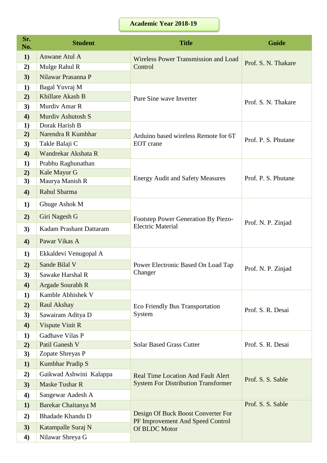## **Academic Year 2018-19**

| Sr.<br>No.       | <b>Student</b>          | <b>Title</b>                                                                            | <b>Guide</b>        |
|------------------|-------------------------|-----------------------------------------------------------------------------------------|---------------------|
| 1)               | Anwane Atul A           | Wireless Power Transmission and Load<br>Control                                         | Prof. S. N. Thakare |
| 2)               | Mulge Rahul R           |                                                                                         |                     |
| 3)               | Nilawar Prasanna P      |                                                                                         |                     |
| 1)               | Bagal Yuvraj M          |                                                                                         |                     |
| 2)               | Khillare Akash B        | Pure Sine wave Inverter                                                                 | Prof. S. N. Thakare |
| 3)               | Murdiv Amar R           |                                                                                         |                     |
| 4)               | Murdiy Ashutosh S       |                                                                                         |                     |
| 1)               | Dorak Harish B          | Arduino based wireless Remote for 6T<br><b>EOT</b> crane                                | Prof. P. S. Phutane |
| 2)               | Narendra R Kumbhar      |                                                                                         |                     |
| 3)               | Takle Balaji C          |                                                                                         |                     |
| 4)               | Wandrekar Akshata R     |                                                                                         |                     |
| 1)               | Prabhu Raghunathan      |                                                                                         | Prof. P. S. Phutane |
| 2)               | Kale Mayur G            | <b>Energy Audit and Safety Measures</b>                                                 |                     |
| 3)               | Maurya Manish R         |                                                                                         |                     |
| 4)               | Rahul Sharma            |                                                                                         |                     |
| 1)               | Ghuge Ashok M           |                                                                                         | Prof. N. P. Zinjad  |
| 2)               | Giri Nagesh G           | Footstep Power Generation By Piezo-                                                     |                     |
| 3)               | Kadam Prashant Dattaram | <b>Electric Material</b>                                                                |                     |
| 4)               | Pawar Vikas A           |                                                                                         |                     |
| $\bf{1}$         | Ekkaldevi Venugopal A   | Power Electronic Based On Load Tap                                                      | Prof. N. P. Zinjad  |
| 2)               | Sande Bilal V           |                                                                                         |                     |
| 3)               | Sawake Harshal R        | Changer                                                                                 |                     |
| 4)               | Argade Sourabh R        |                                                                                         |                     |
| 1)               | Kamble Abhishek V       |                                                                                         | Prof. S. R. Desai   |
| 2)               | Raul Akshay             | <b>Eco Friendly Bus Transportation</b><br>System                                        |                     |
| 3)               | Sawairam Aditya D       |                                                                                         |                     |
| 4)               | Vispute Vinit R         |                                                                                         |                     |
| 1)               | Gadhave Vilas P         | <b>Solar Based Grass Cutter</b>                                                         | Prof. S. R. Desai   |
| 2)               | Patil Ganesh V          |                                                                                         |                     |
| 3)               | Zopate Shreyas P        |                                                                                         |                     |
| 1)               | Kumbhar Pradip S        | <b>Real Time Location And Fault Alert</b>                                               |                     |
| 2)               | Gaikwad Ashwini Kalappa |                                                                                         | Prof. S. S. Sable   |
| 3)               | <b>Maske Tushar R</b>   | <b>System For Distribution Transformer</b>                                              |                     |
| $\boldsymbol{4}$ | Sangewar Aadesh A       |                                                                                         |                     |
| 1)               | Barekar Chaitanya M     |                                                                                         | Prof. S. S. Sable   |
| 2)               | <b>Bhadade Khandu D</b> | Design Of Buck Boost Converter For<br>PF Improvement And Speed Control<br>Of BLDC Motor |                     |
| 3)               | Katampalle Suraj N      |                                                                                         |                     |
| $\boldsymbol{4}$ | Nilawar Shreya G        |                                                                                         |                     |